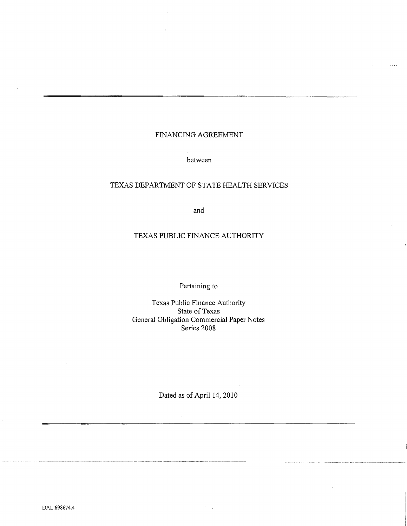# FINANCING AGREEMENT

between

# TEXAS DEPARTMENT OF STATE HEALTH SERVICES

and

# TEXAS PUBLIC FINANCE AUTHORITY

# Pertaining to

Texas Public Finance Authority State of Texas General Obligation Commercial Paper Notes Series 2008

Dated as of April 14, 2010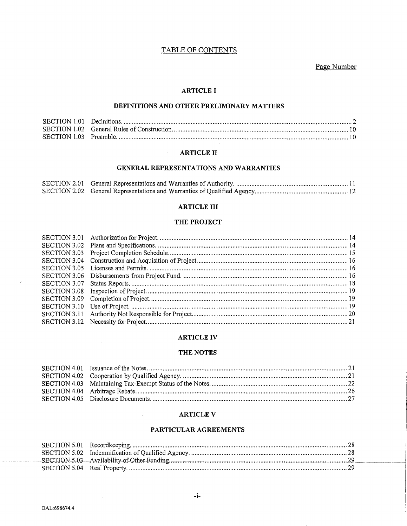# TABLE OF CONTENTS

# Page Number

# **ARTICLE I**

### DEFINITIONS AND OTHER PRELIMINARY MATTERS

### **ARTICLE II**

### GENERAL REPRESENTATIONS AND WARRANTIES

### **ARTICLE III**

#### THE PROJECT

#### **ARTICLE IV**

#### THE NOTES

### **ARTICLE V**

 $\mathcal{L}^{\text{max}}$ 

# PARTICULAR AGREEMENTS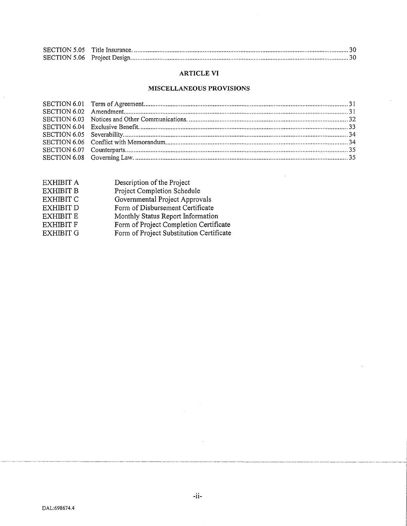# **ARTICLE VI**

### **MISCELLANEOUS PROVISIONS**

 $\bar{\mathcal{A}}$ 

| Description of the Project               |
|------------------------------------------|
| Project Completion Schedule              |
| Governmental Project Approvals           |
| Form of Disbursement Certificate         |
| Monthly Status Report Information        |
| Form of Project Completion Certificate   |
| Form of Project Substitution Certificate |
|                                          |

 $\hat{\boldsymbol{\beta}}$ 

 $\sim 10^7$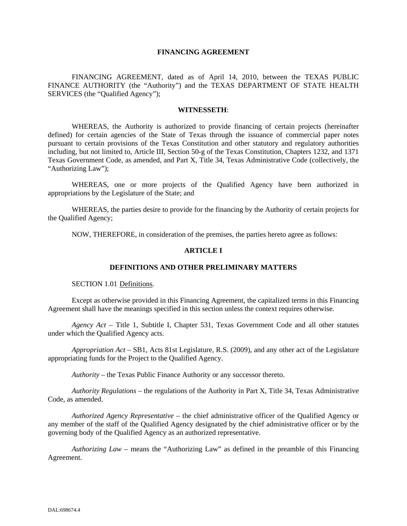### **FINANCING AGREEMENT**

FINANCING AGREEMENT, dated as of April 14, 2010, between the TEXAS PUBLIC FINANCE AUTHORITY (the "Authority") and the TEXAS DEPARTMENT OF STATE HEALTH SERVICES (the "Qualified Agency");

#### **WITNESSETH**:

WHEREAS, the Authority is authorized to provide financing of certain projects (hereinafter defined) for certain agencies of the State of Texas through the issuance of commercial paper notes pursuant to certain provisions of the Texas Constitution and other statutory and regulatory authorities including, but not limited to, Article III, Section 50-g of the Texas Constitution, Chapters 1232, and 1371 Texas Government Code, as amended, and Part X, Title 34, Texas Administrative Code (collectively, the "Authorizing Law");

WHEREAS, one or more projects of the Qualified Agency have been authorized in appropriations by the Legislature of the State; and

WHEREAS, the parties desire to provide for the financing by the Authority of certain projects for the Qualified Agency;

NOW, THEREFORE, in consideration of the premises, the parties hereto agree as follows:

#### **ARTICLE I**

#### **DEFINITIONS AND OTHER PRELIMINARY MATTERS**

SECTION 1.01 Definitions.

Except as otherwise provided in this Financing Agreement, the capitalized terms in this Financing Agreement shall have the meanings specified in this section unless the context requires otherwise.

*Agency Act* – Title 1, Subtitle I, Chapter 531, Texas Government Code and all other statutes under which the Qualified Agency acts.

*Appropriation Act* – SB1, Acts 81st Legislature, R.S. (2009), and any other act of the Legislature appropriating funds for the Project to the Qualified Agency.

*Authority* – the Texas Public Finance Authority or any successor thereto.

*Authority Regulations* – the regulations of the Authority in Part X, Title 34, Texas Administrative Code, as amended.

*Authorized Agency Representative* – the chief administrative officer of the Qualified Agency or any member of the staff of the Qualified Agency designated by the chief administrative officer or by the governing body of the Qualified Agency as an authorized representative.

*Authorizing Law* – means the "Authorizing Law" as defined in the preamble of this Financing Agreement.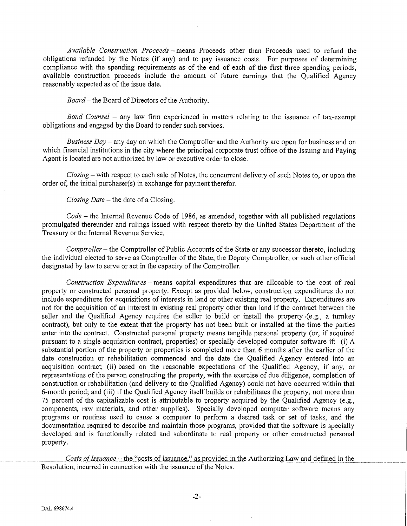*Available Construction Proceeds-* means Proceeds other than Proceeds used to refund the obligations refunded by the Notes (if any) and to pay issuance costs. For purposes of determining compliance with the spending requirements as of the end of each of the first three spending periods, available construction proceeds include the amount of future earnings that the Qualified Agency reasonably expected as of the issue date.

*Board-* the Board of Directors of the Authority.

*Bond Counsel –* any law firm experienced in matters relating to the issuance of tax-exempt obligations and engaged by the Board to render such services.

*Business Day-* any day on which the Comptroller and the Authority are open for business and on which financial institutions in the city where the principal corporate trust office of the Issuing and Paying Agent is located are not authorized by law or executive order to close.

*Closing-* with respect to each sale of Notes, the concurrent delivery of such Notes to, or upon the order of, the initial purchaser(s) in exchange for payment therefor.

*Closing Date* – the date of a Closing.

*Code-* the Internal Revenue Code of 1986, as amended, together with all published regulations promulgated thereunder and rulings issued with respect thereto by the United States Department of the Treasury or the Internal Revenue Service.

*Comptroller-* the Comptroller of Public Accounts of the State or any successor thereto, including the individual elected to serve as Comptroller of the State, the Deputy Comptroller, or such other official designated by law to serve or act in the capacity of the Comptroller.

*Construction Expenditures-* means capital expenditures that are allocable to the cost of real property or constructed personal property. Except as provided below, construction expenditures do not include expenditures for acquisitions of interests in land or other existing real property. Expenditures are not for the acquisition of an interest in existing real property other than land if the contract between the seller and the Qualified Agency requires the seller to build or install the property ·(e.g., a turnkey contract), but only to the extent that the property has not been built or installed at the time the parties enter into the contract. Constructed personal property means tangible personal property (or, if acquired pursuant to a single acquisition contract, properties) or specially developed computer software if: (i) A substantial portion of the property or properties is completed more than 6 months after the earlier of the date construction or rehabilitation commenced and the date the Qualified Agency entered into an acquisition contract; (ii) based on the reasonable expectations of the Qualified Agency, if any, or representations of the person constructing the property, with the exercise of due diligence, completion of construction or rehabilitation (and delivery to the Qualified Agency) could not have occurred within that 6-month period; and (iii) if the Qualified Agency itself builds or rehabilitates the property, not more than 75 percent of the capitalizable cost is attributable to property acquired by the Qualified Agency (e.g., components, raw materials, and other supplies). Specially developed computer software means any programs or routines used to cause a computer to perform a desired task or set of tasks, and the documentation required to describe and maintain those programs, provided that the software is specially developed and is functionally related and subordinate to real property or other constructed personal property.

 $\frac{Costs \ of \textit{Issumce}-the \text{``costs of \text{issumace''}}}{\text{as provided in the Authority} }$ Resolution, incurred in connection with the issuance of the Notes.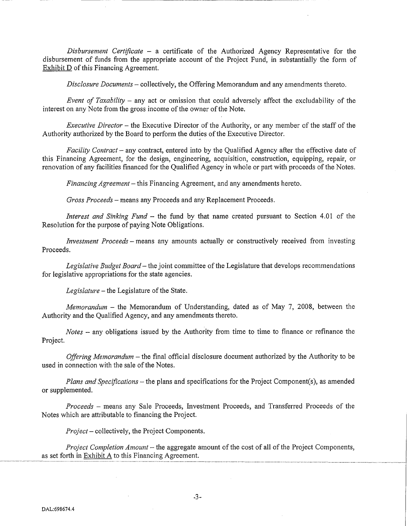*Disbursement Certificate* - a certificate of the Authorized Agency Representative for the disbursement of funds from the appropriate account of the Project Fund, in substantially the form of Exhibit D of this Financing Agreement.

*Disclosure Documents-* collectively, the Offering Memorandum and any amendments thereto.

-------------~----

*Event of Taxability* – any act or omission that could adversely affect the excludability of the interest on any Note from the gross income of the owner of the Note.

*Executive Director* - the Executive Director of the Authority, or any member of the staff of the Authority authorized by the Board to perform the duties of the Executive Director.

*Facility Contract-* any contract, entered into by the Qualified Agency after the effective date of this Financing Agreement, for the design, engineering, acquisition, construction, equipping, repair, or renovation of any facilities financed for the Qualified Agency in whole or part with proceeds of the Notes.

*Financing Agreement-* this Financing Agreement, and any amendments hereto.

*Gross Proceeds-* means any Proceeds and any Replacement Proceeds.

*Interest and Sinking Fund-* the fund by that name created pursuant to Section 4.01 of the Resolution for the purpose of paying Note Obligations.

*Investment Proceeds* – means any amounts actually or constructively received from investing Proceeds.

*Legislative Budget Board-* the joint committee of the Legislature that develops recommendations for legislative appropriations for the state agencies.

*Legislature-* the Legislature of the State.

*Memorandum* -the Memorandum of Understanding, dated as of May 7, 2008, between the Authority and the Qualified Agency, and any amendments thereto.

*Notes* - any obligations issued by the Authority from time to time to finance or refinance the Project.

*Offering Memorandum* – the final official disclosure document authorized by the Authority to be used in connection with the sale of the Notes.

*Plans and Specifications-* the plans and specifications for the Project Component(s), as amended or supplemented.

*Proceeds* - means any Sale Proceeds, Investment Proceeds, and Transferred Proceeds of the Notes which are attributable to financing the Project.

*Project-* collectively, the Project Components.

*Project Completion Amount-* the aggregate amount of the cost of all of the Project Components, as set forth in Exhibit A to this Financing Agreement.  $\frac{1}{2}$  and  $\frac{1}{2}$  are set forth in Exhibit A to this Financing Agreement.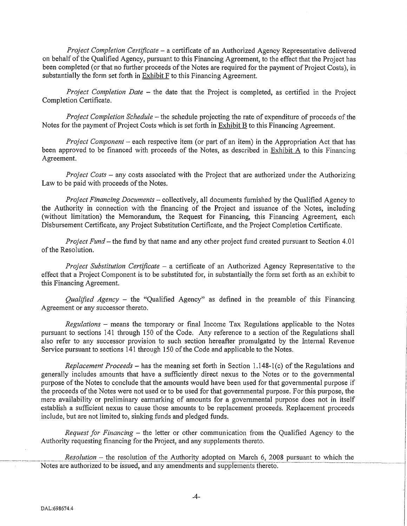*Project Completion Certificate* - a certificate of an Authorized Agency Representative delivered on behalf of the Qualified Agency, pursuant to this Financing Agreement, to the effect that the Project has been completed (or that no further proceeds of the Notes are required for the payment of Project Costs), in substantially the form set forth in  $Exhibit F$  to this Financing Agreement.

*Project Completion Date* – the date that the Project is completed, as certified in the Project Completion Certificate.

*Project Completion Schedule-* the schedule projecting the rate of expenditure of proceeds of the Notes for the payment of Project Costs which is set forth in Exhibit B to this Financing Agreement.

*Project Component* – each respective item (or part of an item) in the Appropriation Act that has been approved to be financed with proceeds of the Notes, as described in Exhibit A to this Financing Agreement.

*Project Costs* - any costs associated with the Project that are authorized under the Authorizing Law to be paid with proceeds of the Notes.

*Project Financing Documents-* collectively, all documents furnished by the Qualified Agency to the Authority in connection with the financing of the Project and issuance of the Notes, including (without limitation) the Memorandum, the Request for Financing, this Financing Agreement, each Disbursement Cetiificate, any Project Substitution Certificate, and the Project Completion Certificate.

*Project Fund-* the fund by that name and any other project fund created pursuant to Section 4.01 of the Resolution.

*Project Substitution Certificate* - a certificate of an Authorized Agency Representative to the effect that a Project Component is to be substituted for, in substantially the form set forth as an exhibit to this Financing Agreement.

*Qualified Agency* – the "Qualified Agency" as defined in the preamble of this Financing Agreement or any successor thereto.

*Regulations* - means the temporary or final Income Tax Regulations applicable to the Notes pursuant to sections 141 through 150 of the Code. Any reference to a section of the Regulations shall also refer to any successor provision to such section hereafter promulgated by the Internal Revenue Service pursuant to sections 141 through 150 of the Code and applicable to the Notes.

*Replacement Proceeds* – has the meaning set forth in Section 1.148-1(c) of the Regulations and generally includes amounts that have a sufficiently direct nexus to the Notes or to the governmental purpose of the Notes to conclude that the amounts would have been used for that govemmental purpose if the proceeds of the Notes were not used or to be used for that governmental purpose. For this purpose, the mere availability or preliminary earmarking of amounts for a governmental purpose does not in itself establish a sufficient nexus to cause those amounts to be replacement proceeds. Replacement proceeds include, but are not limited to, sinking funds and pledged funds.

*Request for Financing-* the letter or other communication from the Qualified Agency to the Authority requesting financing for the Project, and any supplements thereto.

 $Resolution$  – the resolution of the Authority adopted on March 6, 2008 pursuant to which the Notes are authorized to be issued, and any amendments and supplements thereto.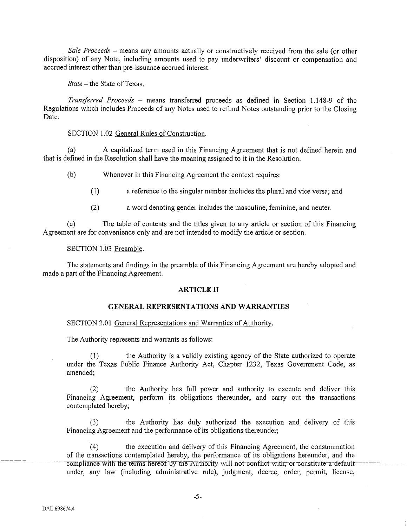*Sale Proceeds* - means any amounts actually or constructively received from the sale (or other disposition) of any Note, including amounts used to pay underwriters' discount or compensation and accrued interest other than pre-issuance accrued interest.

*State-* the State of Texas.

*Transferred Proceeds* - means transferred proceeds as defined in Section 1.148-9 of the Regulations which includes Proceeds of any Notes used to refund Notes outstanding prior to the Closing Date.

### SECTION 1.02 General Rules of Construction.

(a) A capitalized term used in this Financing Agreement that is not defined herein and that is defined in the Resolution shall have the meaning assigned to it in the Resolution.

(b) Whenever in this Financing Agreement the context requires:

(1) a reference to the singular number includes the plural and vice versa; and

(2) a word denoting gender includes the masculine, feminine, and neuter.

(c) The table of contents and the titles given to any article or section of this Financing Agreement are for convenience only and are not intended to modify the article or section.

#### SECTION 1.03 Preamble.

The statements and findings in the preamble of this Financing Agreement are hereby adopted and made a part of the Financing Agreement.

#### **ARTICLE II**

### **GENERAL REPRESENTATIONS AND WARRANTIES**

#### SECTION 2.01 General Representations and Warranties of Authority.

The Authority represents and warrants as follows:

(1) the Authority is a validly existing agency of the State authorized to operate under the Texas Public Finance Authority Act, Chapter 1232, Texas Government Code, as amended;

(2) the Authority has full power and authority to execute and deliver this Financing Agreement, perform its obligations thereunder, and carry out the transactions contemplated hereby;

(3) the Authority has duly authorized the execution and delivery of this Financing Agreement and the performance of its obligations thereunder;

 $(4)$  the execution and delivery of this Financing Agreement, the consummation of the transactions contemplated hereby, the performance of its obligations hereunder, and the compliance with the terms hereof-by the Authority will not conflict with, or constitute-a-defaultunder, any law (including administrative rule), judgment, decree, order, permit, license,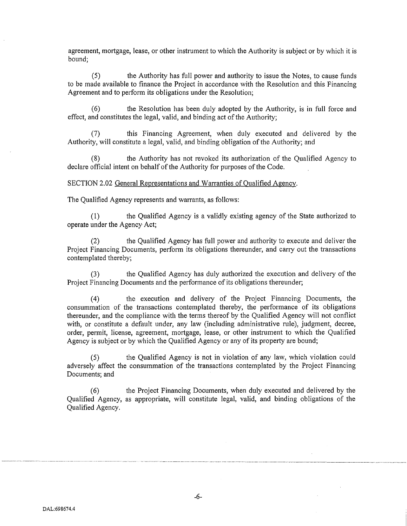agreement, mortgage, lease, or other instrument to which the Authority is subject or by which it is bound;

(5) the Authority has full power and authority to issue the Notes, to cause funds to be made available to finance the Project in accordance with the Resolution and this Financing Agreement and to perform its obligations under the Resolution;

the Resolution has been duly adopted by the Authority, is in full force and effect, and constitutes the legal, valid, and binding act of the Authority;

(7) this Financing Agreement, when duly executed and delivered by the Authority, will constitute a legal, valid, and binding obligation of the Authority; and

(8) the Authority has not revoked its authorization of the Qualified Agency to declare official intent on behalf of the Authority for purposes of the Code.

#### SECTION 2.02 General Representations and Warranties of Qualified Agency.

The Qualified Agency represents and warrants, as follows:

(1) the Qualified Agency is a validly existing agency of the State authorized to operate under the Agency Act;

(2) the Qualified Agency has full power and authority to execute and deliver the Project Financing Documents, perform its obligations thereunder, and carry out the transactions contemplated thereby;

(3) the Qualified Agency has duly authorized the execution and delivery of the Project Financing Documents and the performance of its obligations thereunder;

(4) the execution and delivery of the Project Financing Documents, the consummation of the transactions contemplated thereby, the performance of its obligations thereunder, and the compliance with the terms thereof by the Qualified Agency will not conflict with, or constitute a default under, any law (including administrative rule), judgment, decree, order, permit, license, agreement, mortgage, lease, or other instrument to which the Qualified Agency is subject or by which the Qualified Agency or any of its property are bound;

(5) the Qualified Agency is not in violation of any law, which violation could adversely affect the consummation of the transactions contemplated by the Project Financing Documents; and

(6) the Project Financing Documents, when duly executed and delivered by the Qualified Agency, as appropriate, will constitute legal, valid, and binding obligations of the Qualified Agency.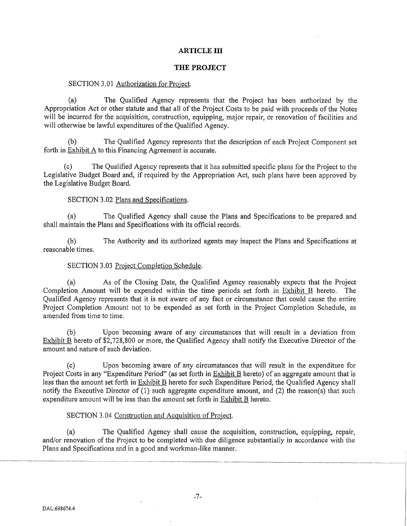### **ARTICLE III**

#### **THE PROJECT**

#### SECTION 3.01 Authorization for Project.

(a) The Qualified Agency represents that the Project has been authorized by the Appropriation Act or other statute and that all of the Project Costs to be paid with proceeds of the Notes will be incurred for the acquisition, construction, equipping, major repair, or renovation of facilities and will otherwise be lawful expenditures of the Qualified Agency.

(b) The Qualified Agency represents that the description of each Project Component set forth in Exhibit  $\overline{A}$  to this Financing Agreement is accurate.

The Qualified Agency represents that it has submitted specific plans for the Project to the Legislative Budget Board and, if required by the Appropriation Act, such plans have been approved by the Legislative Budget Board.

#### SECTION 3.02 Plans and Specifications.

(a) The Qualified Agency shall cause the Plans and Specifications to be prepared and shall maintain the Plans and Specifications with its official records.

(b) The Authority and its authorized agents may inspect the Plans and Specifications at reasonable times.

#### SECTION 3.03 Project Completion Schedule.

(a) As of the Closing Date, the Qualified Agency reasonably expects that the Project Completion Amount wiii be expended within the time periods set forth in Exhibit B hereto. The Qualified Agency represents that it is not aware of any fact or circumstance that could cause the entire Project Completion Amount not to be expended as set forth in the Project Completion Schedule, as amended from time to time.

(b) Upon becoming aware of any circumstances that will result in a deviation from Exhibit B hereto of \$2,728,800 or more, the Qualified Agency shall notify the Executive Director of the amount and nature of such deviation.

(c) Upon becoming aware of any circumstances that wiii result in the expenditure for Project Costs in any "Expenditure Period" (as set forth in Exhibit B hereto) of an aggregate amount that is less than the amount set forth in Exhibit B hereto for such Expenditure Period, the Qualified Agency shall notify the Executive Director of (1) such aggregate expenditure amount, and (2) the reason(s) that such expenditure amount will be less than the amount set forth in Exhibit B hereto.

#### SECTION 3.04 Construction and Acquisition of Project.

(a) The Qualified Agency shall cause the acquisition, construction, equipping, repair, and/or renovation of the Project to be completed with due diligence substantially in accordance with the Plans and Specifications and in a good and workman-like manner.

-·---~--------------~------------·------·---------.---- .. ------------- ------- -- ----------- - --------------------------------------------------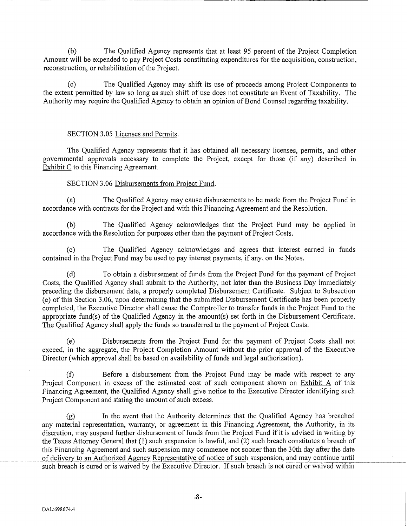(b) The Qualified Agency represents that at least 95 percent of the Project Completion Amount will be expended to pay Project Costs constituting expenditures for the acquisition, construction, reconstruction, or rehabilitation of the Project.

~~~~~~~~~--~--------

(c) The Qualified Agency may shift its use of proceeds among Project Components to the extent permitted by law so long as such shift of use does not constitute an Event of Taxability. The Authority may require the Qualified Agency to obtain an opinion of Bond Counsel regarding taxability.

### SECTION 3.05 Licenses and Permits.

The Qualified Agency represents that it has obtained all necessary licenses, permits, and other governmental approvals necessary to complete the Project, except for those (if any) described in Exhibit C to this Financing Agreement.

## SECTION 3.06 Disbursements from Project Fund.

(a) The Qualified Agency may cause disbursements to be made from the Project Fund in accordance with contracts for the Project and with this Financing Agreement and the Resolution.

(b) The Qualified Agency acknowledges that the Project Fund may be applied m accordance with the Resolution for purposes other than the payment of Project Costs.

The Qualified Agency acknowledges and agrees that interest earned in funds contained in the Project Fund may be used to pay interest payments, if any, on the Notes.

(d) To obtain a disbursement of funds from the Project Fund for the payment of Project Costs, the Qualified Agency shall submit to the Authority, not later than the Business Day immediately preceding the disbursement date, a properly completed Disbursement Certificate. Subject to Subsection (e) of this Section 3 .06, upon determining that the submitted Disbursement Certificate has been properly completed, the Executive Director shall cause the Comptroller to transfer funds in the Project Fund to the appropriate fund(s) of the Qualified Agency in the amount(s) set forth in the Disbursement Certificate. The Qualified Agency shall apply the funds so transferred to the payment of Project Costs.

(e) Disbursements from the Project Fund for the payment of Project Costs shall not exceed, in the aggregate, the Project Completion Amount without the prior approval of the Executive Director (which approval shall be based on availability of funds and legal authorization).

(f) Before a disbursement from the Project Fund may be made with respect to any Project Component in excess of the estimated cost of such component shown on Exhibit A of this Financing Agreement, the Qualified Agency shall give notice to the Executive Director identifying such Project Component and stating the amount of such excess.

(g) In the event that the Authority determines that the Qualified Agency has breached any material representation, warranty, or agreement in this Financing Agreement, the Authority, in its discretion, may suspend further disbursement of funds from the Project Fund if it is advised in writing by the Texas Attorney General that (1) such suspension is lawful, and (2) such breach constitutes a breach of this Financing Agreement and such suspension may commence not sooner than the 30th day after the date of delivery to an Authorized Agency Representative of notice of such suspension, and may continue until such breach is cured or is waived by the Executive Director. If such breach is not cured or waived within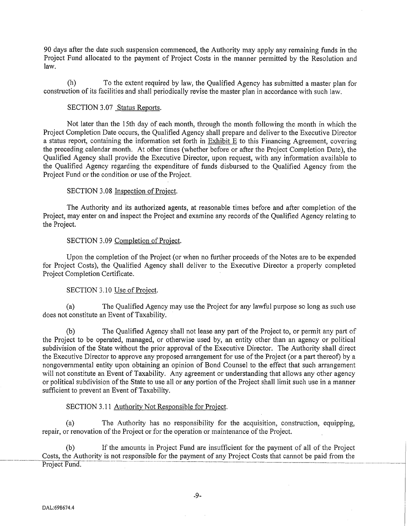90 days after the date such suspension commenced, the Authority may apply any remaining funds in the Project Fund allocated to the payment of Project Costs in the manner permitted by the Resolution and law.

(h) To the extent required by law, the Qualified Agency has submitted a master plan for construction of its facilities and shall periodically revise the master plan in accordance with such law.

#### SECTION 3.07 Status Reports.

Not later than the 15th day of each month, through the month following the month in which the Project Completion Date occurs, the Qualified Agency shall prepare and deliver to the Executive Director a status report, containing the information set forth in Exhibit E to this Financing Agreement, covering the preceding calendar month. At other times (whether before or after the Project Completion Date), the Qualified Agency shall provide the Executive Director, upon request, with any information available to the Qualified Agency regarding the expenditure of funds disbursed to the Qualified Agency from the Project Fund or the condition or use of the Project.

### SECTION 3.08 Inspection of Project.

The Authority and its authorized agents, at reasonable times before and after completion of the Project, may enter on and inspect the Project and examine any records of the Qualified Agency relating to the Project.

### SECTION 3.09 Completion of Project.

Upon the completion of the Project (or when no further proceeds of the Notes are to be expended for Project Costs), the Qualified Agency shall deliver to the Executive Director a properly completed Project Completion Certificate.

#### SECTION 3.10 Use of Project.

(a) The Qualified Agency may use the Project for any lawful purpose so long as such use does not constitute an Event of Taxability.

(b) The Qualified Agency shall not lease any part of the Project to, or permit any part of the Project to be operated, managed, or otherwise used by, an entity other than an agency or political subdivision of the State without the prior approval of the Executive Director. The Authority shall direct the Executive Director to approve any proposed arrangement for use of the Project (or a part thereof) by a nongovernmental entity upon obtaining an opinion of Bond Counsel to the effect that such arrangement will not constitute an Event of Taxability. Any agreement or understanding that allows any other agency or political subdivision of the State to use all or any portion of the Project shall limit such use in a manner sufficient to prevent an Event of Taxability.

#### SECTION 3.11 Authority Not Responsible for Project.

(a) The Authority has no responsibility for the acquisition, construction, equipping, repair, or renovation of the Project or for the operation or maintenance of the Project.

(b) If the amounts in Project Fund are insufficient for the payment of all of the Project Costs, the Authority is not responsible for the payment of any Project Costs that cannot be paid from the Project Fund.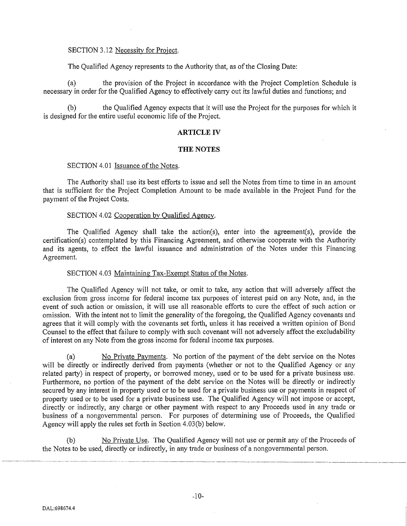### SECTION 3.12 Necessity for Project.

The Qualified Agency represents to the Authority that, as of the Closing Date:

(a) the provision of the Project in accordance with the Project Completion Schedule is necessary in order for the Qualified Agency to effectively carry out its lawful duties and functions; and

(b) the Qualified Agency expects that it will use the Project for the purposes for which it is designed for the entire useful economic life of the Project.

#### **ARTICLE** IV

#### **THE NOTES**

#### SECTION 4.01 Issuance of the Notes.

The Authority shall use its best efforts to issue and sell the Notes from time to time in an amount that is sufficient for the Project Completion Amount to be made available in the Project Fund for the payment of the Project Costs.

### SECTION 4.02 Cooperation by Qualified Agency.

The Qualified Agency shall take the action(s), enter into the agreement(s), provide the cetiification(s) contemplated by this Financing Agreement, and otherwise cooperate with the Authority and its agents, to effect the lawful issuance and administration of the Notes under this Financing Agreement.

### SECTION 4.03 Maintaining Tax-Exempt Status of the Notes.

The Qualified Agency will not take, or omit to take, any action that will adversely affect the exclusion from gross income for federal income tax purposes of interest paid on any Note, and, in the event of such action or omission, it will use all reasonable efforts to cure the effect of such action or omission. With the intent not to limit the generality of the foregoing, the Qualified Agency covenants and agrees that it will comply with the covenants set forth, unless it has received a written opinion of Bond Counsel to the effect that failure to comply with such covenant will not adversely affect the excludability of interest on any Note from the gross income for federal income tax purposes.

(a) No Private Payments. No portion of the payment of the debt service on the Notes will be directly or indirectly derived from payments (whether or not to the Qualified Agency or any related party) in respect of property, or borrowed money, used or to be used for a private business use. Furthermore, no portion of the payment of the debt service on the Notes will be directly or indirectly secured by any interest in property used or to be used for a private business use or payments in respect of propetiy used or to be used for a private business use. The Qualified Agency will not impose or accept, directly or indirectly, any charge or other payment with respect to any Proceeds used in any trade or business of a nongovernmental person. For purposes of determining use of Proceeds, the Qualified Agency will apply the rules set forth in Section  $4.03(b)$  below.

(b) No Private Use. The Qualified Agency will not use or permit any of the Proceeds of the Notes to be used, directly or indirectly, in any trade or business of a nongovernmental person.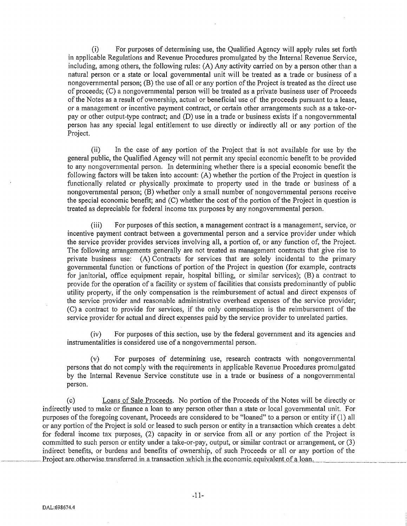(i) For purposes of determining use, the Qualified Agency will apply rules set forth in applicable Regulations and Revenue Procedures promulgated by the Internal Revenue Service, including, among others, the following rules: (A) Any activity carried on by a person other than a natural person or a state or local governmental unit will be treated as a trade or business of a nongovernmental person; (B) the use of all or any portion of the Project is treated as the direct use of proceeds; (C) a nongovernmental person will be treated as a private business user of Proceeds of the Notes as a result of ownership, actual or beneficial use of the proceeds pursuant to a lease, or a management or incentive payment contract, or certain other arrangements such as a take-orpay or other output-type contract; and (D) use in a trade or business exists if a nongovernmental person has any special legal entitlement to use directly or indirectly all or any portion of the Project.

(ii) In the case of any portion of the Project that is not available for use by the general public, the Qualified Agency will not permit any special economic benefit to be provided to any nongovernmental person. In determining whether there is a special economic benefit the following factors will be taken into account:  $(A)$  whether the portion of the Project in question is functionally related or physically proximate to property used in the trade or business of a nongovernmental person; (B) whether only a small number of nongovernmental persons receive the special economic benefit; and  $(C)$  whether the cost of the portion of the Project in question is treated as depreciable for federal income tax purposes by any nongovernmental person.

(iii) For purposes of this section, a management contract is a management, service, or incentive payment contract between a governmental person and a service provider under which the service provider provides services involving all, a portion of, or any function of, the Project. The following arrangements generally are not treated as management contracts that give rise to private business use: (A) Contracts for services that are solely incidental to the primary governmental function or functions of portion of the Project in question (for example, contracts for janitorial, office equipment repair, hospital billing, or similar services); (B) a contract to provide for the operation of a facility or system of facilities that consists predominantly of public utility property, if the only compensation is the reimbursement of actual and direct expenses of the service provider and reasonable administrative overhead expenses of the service provider; (C) a contract to provide for services, if the only compensation is the reimbursement of the service provider for actual and direct expenses paid by the service provider to unrelated parties.

(iv) For purposes of this section, use by the federal government and its agencies and instrumentalities is considered use of a nongovernmental person.

(v) For purposes of determining use, research contracts with nongovernmental persons that do not comply with the requirements in applicable Revenue Procedures promulgated by the Internal Revenue Service constitute use in a trade or business of a nongovernmental person.

(c) Loans of Sale Proceeds. No portion of the Proceeds of the Notes will be directly or indirectly used to make or finance a loan to any person other than a state or local governmental unit. For purposes of the foregoing covenant, Proceeds are considered to be "loaned" to a person or entity if (1) all or any portion of the Project is sold or leased to such person or entity in a transaction which creates a debt for federal income tax purposes, (2) capacity in or service from all or any portion of the Project is committed to such person or entity under a take-or-pay, output, or similar contract or arrangement, or (3) indirect benefits, or burdens and benefits of ownership, of such Proceeds or all or any portion of the Project are otherwise transferred in a transaction which is the economic equivalent of a loan.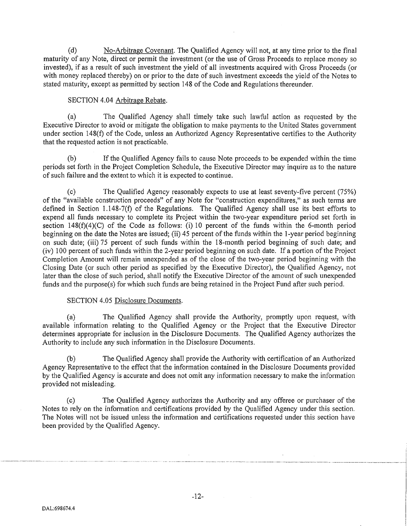(d) No-Arbitrage Covenant. The Qualified Agency will not, at any time prior to the final maturity of any Note, direct or permit the investment (or the use of Gross Proceeds to replace money so invested), if as a result of such investment the yield of all investments acquired with Gross Proceeds (or with money replaced thereby) on or prior to the date of such investment exceeds the yield of the Notes to stated maturity, except as permitted by section 148 of the Code and Regulations thereunder.

# SECTION 4.04 Arbitrage Rebate.

(a) The Qualified Agency shall timely take such lawful action as requested by the Executive Director to avoid or mitigate the obligation to make payments to the United States government under section 148 $(f)$  of the Code, unless an Authorized Agency Representative certifies to the Authority that the requested action is not practicable.

(b) If the Qualified Agency fails to cause Note proceeds to be expended within the time periods set forth in the Project Completion Schedule, the Executive Director may inquire as to the nature of such failure and the extent to which it is expected to continue.

(c) The Qualified Agency reasonably expects to use at least seventy-five percent (75%) of the "available construction proceeds" of any Note for "construction expenditures," as such terms are defined in Section 1.148-7(f) of the Regulations. The Qualified Agency shall use its best efforts to expend all funds necessary to complete its Project within the two-year expenditure period set forth in section  $148(f)(4)(C)$  of the Code as follows: (i) 10 percent of the funds within the 6-month period beginning on the date the Notes are issued; (ii) 45 percent of the funds within the 1-year period beginning on such date; (iii) 75 percent of such funds within the 18-month period beginning of such date; and (iv) 100 percent of such funds within the 2-year period beginning on such date. If a portion of the Project Completion Amount will remain unexpended as of the close of the two-year period beginning with the Closing Date (or such other period as specified by the Executive Director), the Qualified Agency, not later than the close of such period, shall notify the Executive Director of the amount of such unexpended funds and the purpose(s) for which such funds are being retained in the Project Fund after such period.

## SECTION 4.05 Disclosure Documents.

(a) The Qualified Agency shall provide the Authority, promptly upon request, with available information relating to the Qualified Agency or the Project that the Executive Director determines appropriate for inclusion in the Disclosure Documents. The Qualified Agency authorizes the Authority to include any such information in the Disclosure Documents.

(b) The Qualified Agency shall provide the Authority with certification of an Authorized Agency Representative to the effect that the information contained in the Disclosure Documents provided by the Qualified Agency is accurate and does not omit any information necessary to make the information provided not misleading.

(c) The Qualified Agency authorizes the Authority and any offeree or purchaser of the Notes to rely on the information and certifications provided by the Qualified Agency under this section. The Notes will not be issued unless the information and certifications requested under this section have been provided by the Qualified Agency.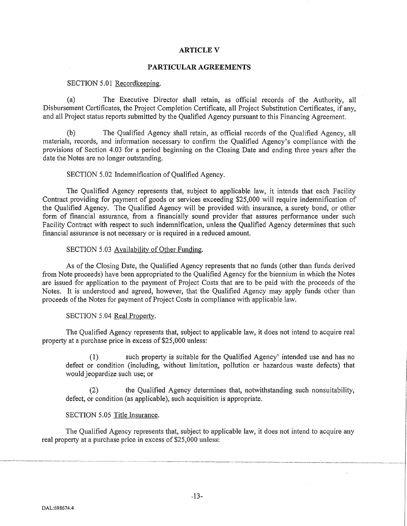### **ARTICLEV**

#### **PARTICULAR AGREEMENTS**

#### SECTION 5.01 Recordkeeping.

(a) The Executive Director shall retain, as official records of the Authority, all Disbursement Certificates, the Project Completion Certificate, all Project Substitution Certificates, if any, and all Project status reports submitted by the Qualified Agency pursuant to this Financing Agreement.

(b) The Qualified Agency shall retain, as official records of the Qualified Agency, all materials, records, and information necessary to confirm the Qualified Agency's compliance with the provisions of Section 4.03 for a period beginning on the Closing Date and ending three years after the date the Notes are no longer outstanding.

### SECTION 5.02 Indemnification of Qualified Agency.

The Qualified Agency represents that, subject to applicable law, it intends that each Facility Contract providing for payment of goods or services exceeding \$25,000 will require indemnification of the Qualified Agency. The Qualified Agency will be provided with insurance, a surety bond, or other form of financial assurance, from a financially sound provider that assures performance under such Facility Contract with respect to such indemnification, unless the Qualified Agency determines that such financial assurance is not necessary or is required in a reduced amount.

### SECTION 5.03 Availability of Other Funding.

As of the Closing Date, the Qualified Agency represents that no funds (other than funds derived from Note proceeds) have been appropriated to the Qualified Agency for the biennium in which the Notes are issued for application to the payment of Project Costs that are to be paid with the proceeds of the Notes. It is understood and agreed, however, that the Qualified Agency may apply funds other than proceeds of the Notes for payment of Project Costs in compliance with applicable law.

#### SECTION 5.04 Real Property.

The Qualified Agency represents that, subject to applicable law, it does not intend to acquire real property at a purchase price in excess of \$25,000 unless:

(1) such property is suitable for the Qualified Agency' intended use and has no defect or condition (including, without limitation, pollution or hazardous waste defects) that would jeopardize such use; or

the Qualified Agency determines that, notwithstanding such nonsuitability, defect, or condition (as applicable), such acquisition is appropriate.

#### SECTION 5.05 Title Insurance.

The Qualified Agency represents that, subject to applicable law, it does not intend to acquire any real property at a purchase price in excess of \$25,000 unless:

----~~---·-··------------------------~--------~--- . ------ ·--- -----------------------------------~-----.- -----~-------------------~----------·-------------~------------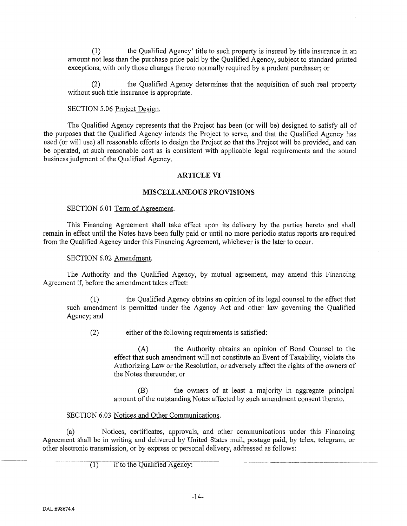(1) the Qualified Agency' title to such property is insured by title insurance in an amount not less than the purchase price paid by the Qualified Agency, subject to standard printed exceptions, with only those changes thereto normally required by a prudent purchaser; or

the Qualified Agency determines that the acquisition of such real property without such title insurance is appropriate.

### SECTION 5.06 Project Design.

The Qualified Agency represents that the Project has been (or will be) designed to satisfy all of the purposes that the Qualified Agency intends the Project to serve, and that the Qualified Agency has used (or will use) all reasonable efforts to design the Project so that the Project will be provided, and can be operated, at such reasonable cost as is consistent with applicable legal requirements and the sound business judgment of the Qualified Agency.

#### **ARTICLE VI**

### **MISCELLANEOUS PROVISIONS**

### SECTION 6.01 Term of Agreement.

This Financing Agreement shall take effect upon its delivery by the parties hereto and shall remain in effect until the Notes have been fully paid or until no more periodic status reports are required from the Qualified Agency under this Financing Agreement, whichever is the later to occur.

### SECTION 6.02 Amendment.

The Authority and the Qualified Agency, by mutual agreement, may amend this Financing Agreement if, before the amendment takes effect:

( 1) the Qualified Agency obtains an opinion of its legal counsel to the effect that such amendment is permitted under the Agency Act and other law governing the Qualified Agency; and

(2) either of the following requirements is satisfied:

(A) the Authority obtains an opinion of Bond Counsel to the effect that such amendment will not constitute an Event of Taxability, violate the Authorizing Law or the Resolution, or adversely affect the rights of the owners of the Notes thereunder, or

(B) the owners of at least a majority in aggregate principal amount of the outstanding Notes affected by such amendment consent thereto.

## SECTION 6.03 Notices and Other Communications.

(a) Notices, certificates, approvals, and other communications under this Financing Agreement shall be in writing and delivered by United States mail, postage paid, by telex, telegram, or other electronic transmission, or by express or personal delivery, addressed as follows:

 $\frac{(1)}{(\text{if to the Oualified Agency})}$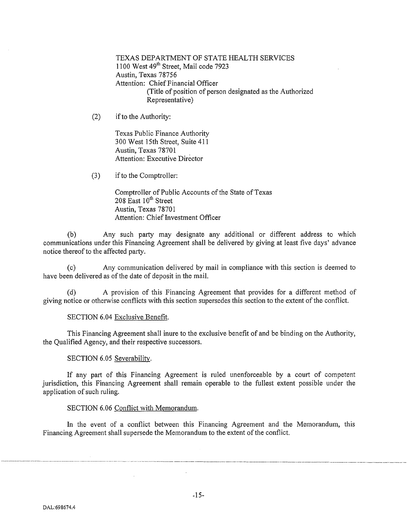TEXAS DEPARTMENT OF STATE HEALTH SERVICES 1100 West 49<sup>th</sup> Street, Mail code 7923 Austin, Texas 78756 Attention: Chief Financial Officer (Title of position of person designated as the Authorized Representative)

(2) if to the Authority:

Texas Public Finance Authority 300 West 15th Street, Suite 411 Austin, Texas 78701 Attention: Executive Director

(3) if to the Comptroller:

Comptroller of Public Accounts of the State of Texas 208 East  $10^{th}$  Street Austin, Texas 78701 Attention: Chief Investment Officer

(b) Any such party may designate any additional or different address to which communications under this Financing Agreement shall be delivered by giving at least five days' advance notice thereof to the affected party.

(c) Any communication delivered by mail in compliance with this section is deemed to have been delivered as of the date of deposit in the mail.

A provision of this Financing Agreement that provides for a different method of giving notice or otherwise conflicts with this section supersedes this section to the extent of the conflict.

### SECTION 6.04 Exclusive Benefit.

This Financing Agreement shall inure to the exclusive benefit of and be binding on the Authority, the Qualified Agency, and their respective successors.

#### SECTION 6.05 Severability.

If any part of this Financing Agreement is ruled unenforceable by a court of competent jurisdiction, this Financing Agreement shall remain operable to the fullest extent possible under the application of such ruling.

### SECTION 6.06 Conflict with Memorandum.

In the event of a conflict between this Financing Agreement and the Memorandum, this Financing Agreement shall supersede the Memorandum to the extent of the conflict.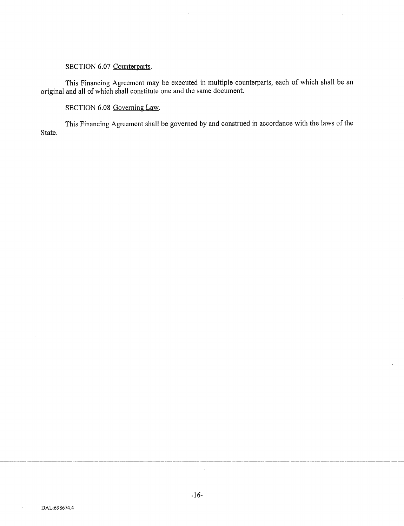# SECTION 6.07 Counterparts.

This Financing Agreement may be executed in multiple counterparts, each of which shall be an original and all of which shall constitute one and the same document.

# SECTION 6.08 Governing Law.

This Financing Agreement shall be governed by and construed in accordance with the laws of the State.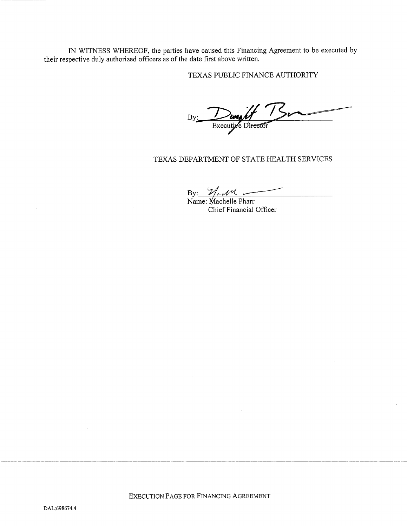IN WITNESS WHEREOF, the parties have caused this Financing Agreement to be executed by their respective duly authorized officers as of the date first above written.

TEXAS PUBLIC FINANCE AUTHORITY

By: *Dweall*<br>Executive Director

# TEXAS DEPARTMENT OF STATE HEALTH SERVICES

By: *ALAU*<br>Name: Machelle Pharr

Chief Financial Officer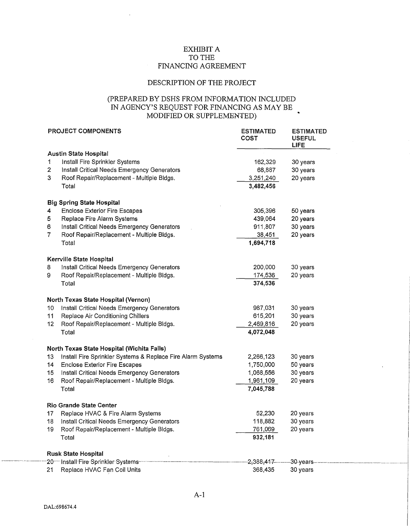# EXHIBIT A TO THE FINANCING AGREEMENT

## DESCRIPTION OF THE PROJECT

## (PREPARED BY DSHS FROM INFORMATION INCLUDED IN AGENCY'S REQUEST FOR FINANCING AS MAY BE MODIFIED OR SUPPLEMENTED)

|                 | <b>PROJECT COMPONENTS</b>                                   | <b>ESTIMATED</b><br>COST | <b>ESTIMATED</b><br><b>USEFUL</b><br><b>LIFE</b> |
|-----------------|-------------------------------------------------------------|--------------------------|--------------------------------------------------|
|                 | <b>Austin State Hospital</b>                                |                          |                                                  |
| 1               | Install Fire Sprinkler Systems                              | 162,329                  | 30 years                                         |
| $\overline{2}$  | Install Critical Needs Emergency Generators                 | 68,887                   | 30 years                                         |
| 3               | Roof Repair/Replacement - Multiple Bldgs.                   | 3,251,240                | 20 years                                         |
|                 | Total                                                       | 3,482,456                |                                                  |
|                 | <b>Big Spring State Hospital</b>                            |                          |                                                  |
| 4               | <b>Enclose Exterior Fire Escapes</b>                        | 305,396                  | 50 years                                         |
| 5               | Replace Fire Alarm Systems                                  | 439,064                  | 20 years                                         |
| 6               | Install Critical Needs Emergency Generators                 | 911,807                  | 30 years                                         |
| $\overline{7}$  | Roof Repair/Replacement - Multiple Bldgs.                   | 38,451                   | 20 years                                         |
|                 | Total                                                       | 1,694,718                |                                                  |
|                 | Kerrville State Hospital                                    |                          |                                                  |
| 8               | Install Critical Needs Emergency Generators                 | 200,000                  | 30 years                                         |
| 9               | Roof Repair/Replacement - Multiple Bldgs.                   | 174,536                  | 20 years                                         |
|                 | Total                                                       | 374,536                  |                                                  |
|                 | North Texas State Hospital (Vernon)                         |                          |                                                  |
| 10              | Install Critical Needs Emergency Generators                 | 987,031                  | 30 years                                         |
| 11              | Replace Air Conditioning Chillers                           | 615,201                  | 30 years                                         |
| 12 <sub>2</sub> | Roof Repair/Replacement - Multiple Bldgs.                   | 2,469,816                | 20 years                                         |
|                 | Total                                                       | 4,072,048                |                                                  |
|                 | North Texas State Hospital (Wichita Falls)                  |                          |                                                  |
| 13              | Install Fire Sprinkler Systems & Replace Fire Alarm Systems | 2,266,123                | 30 years                                         |
| 14              | <b>Enclose Exterior Fire Escapes</b>                        | 1,750,000                | 50 years                                         |
| 15              | Install Critical Needs Emergency Generators                 | 1,068,556                | 30 years                                         |
| 16              | Roof Repair/Replacement - Multiple Bldgs.                   | 1,961,109                | 20 years                                         |
|                 | Total                                                       | 7,045,788                |                                                  |
|                 | <b>Rio Grande State Center</b>                              |                          |                                                  |
| 17              | Replace HVAC & Fire Alarm Systems                           | 52,230                   | 20 years                                         |
| 18              | Install Critical Needs Emergency Generators                 | 118,882                  | 30 years                                         |
| 19              | Roof Repair/Replacement - Multiple Bldgs.                   | 761,069                  | 20 years                                         |
|                 | Total                                                       | 932,181                  |                                                  |
|                 | <b>Rusk State Hospital</b>                                  |                          |                                                  |
|                 | 20 Install Fire Sprinkler Systems-                          | 2,388,417–               | –30-years                                        |
| 21              | Replace HVAC Fan Coil Units                                 | 368,435                  | 30 years                                         |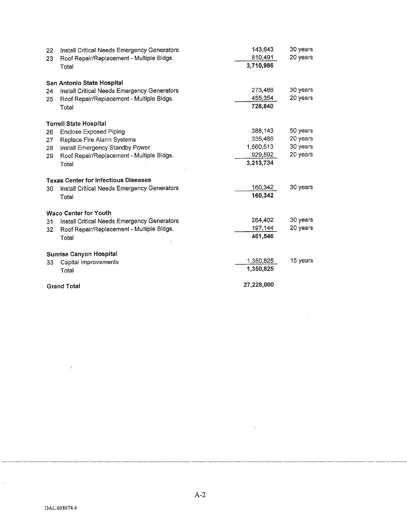| 22 | Install Critical Needs Emergency Generators | 143,643    | 30 years |
|----|---------------------------------------------|------------|----------|
| 23 | Roof Repair/Replacement - Multiple Bldgs.   | 810,491    | 20 years |
|    | Total                                       | 3,710,986  |          |
|    | San Antonio State Hospital                  |            |          |
| 24 | Install Critical Needs Emergency Generators | 273,486    | 30 years |
| 25 | Roof Repair/Replacement - Multiple Bldgs.   | 455,354    | 20 years |
|    | Total                                       | 728,840    |          |
|    | <b>Terrell State Hospital</b>               |            |          |
| 26 | Enclose Exposed Piping                      | 388,143    | 50 years |
| 27 | Replace Fire Alarm Systems                  | 335,486    | 20 years |
| 28 | Install Emergency Standby Power             | 1,560,513  | 30 years |
| 29 | Roof Repair/Replacement - Multiple Bldgs.   | 929.592    | 20 years |
|    | Total                                       | 3,213,734  |          |
|    | <b>Texas Center for Infectious Diseases</b> |            |          |
| 30 | Install Critical Needs Emergency Generators | 160,342    | 30 years |
|    | Total                                       | 160,342    |          |
|    | <b>Waco Center for Youth</b>                |            |          |
| 31 | Install Critical Needs Emergency Generators | 264,402    | 30 years |
| 32 | Roof Repair/Replacement - Multiple Bldgs.   | 197,144    | 20 years |
|    | Total                                       | 461,546    |          |
|    | <b>Sunrise Canyon Hospital</b>              |            |          |
| 33 | Capital Improvements                        | 1,350,825  | 15 years |
|    | Total                                       | 1,350,825  |          |
|    | <b>Grand Total</b>                          | 27,228,000 |          |

 $\hat{\mathcal{A}}$ 

 $\hat{\mathcal{A}}$ 

 $\bar{\lambda}$ 

 $\bar{t}$ 

 $\hat{\mathcal{E}}$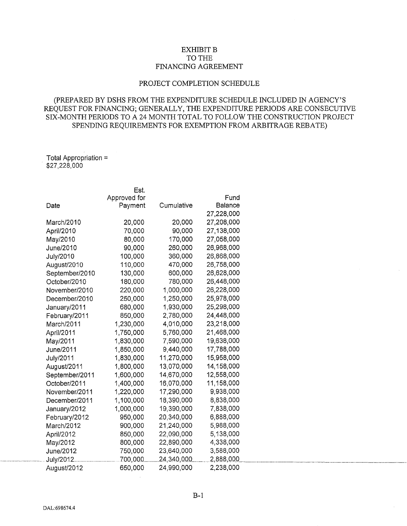# EXHIBIT B TO THE FINANCING AGREEMENT

## PROJECT COMPLETION SCHEDULE

# (PREPARED BY DSHS FROM THE EXPENDITURE SCHEDULE INCLUDED IN AGENCY'S REQUEST FOR FINANCING; GENERALLY, THE EXPENDITURE PERIODS ARE CONSECUTIVE SIX-MONTH PERIODS TO A 24 MONTH TOTAL TO FOLLOW THE CONSTRUCTION PROJECT SPENDING REQUIREMENTS FOR EXEMPTION FROM ARBITRAGE REBATE)

Total Appropriation= \$27,228,000

|                | Est.         |            |                |
|----------------|--------------|------------|----------------|
|                | Approved for |            | Fund           |
| Date           | Payment      | Cumulative | <b>Balance</b> |
|                |              |            | 27,228,000     |
| March/2010     | 20,000       | 20,000     | 27,208,000     |
| April/2010     | 70,000       | 90,000     | 27,138,000     |
| May/2010       | 80,000       | 170,000    | 27,058,000     |
| June/2010      | 90,000       | 260,000    | 26,968,000     |
| July/2010      | 100,000      | 360,000    | 26,868,000     |
| August/2010    | 110,000      | 470,000    | 26,758,000     |
| September/2010 | 130,000      | 600,000    | 26,628,000     |
| October/2010   | 180,000      | 780,000    | 26,448,000     |
| November/2010  | 220,000      | 1,000,000  | 26,228,000     |
| December/2010  | 250,000      | 1,250,000  | 25,978,000     |
| January/2011   | 680,000      | 1,930,000  | 25,298,000     |
| February/2011  | 850,000      | 2,780,000  | 24,448,000     |
| March/2011     | 1,230,000    | 4,010,000  | 23,218,000     |
| April/2011     | 1,750,000    | 5,760,000  | 21,468,000     |
| May/2011       | 1,830,000    | 7,590,000  | 19,638,000     |
| June/2011      | 1,850,000    | 9,440,000  | 17,788,000     |
| July/2011      | 1,830,000    | 11,270,000 | 15,958,000     |
| August/2011    | 1,800,000    | 13,070,000 | 14,158,000     |
| September/2011 | 1,600,000    | 14,670,000 | 12,558,000     |
| October/2011   | 1,400,000    | 16,070,000 | 11,158,000     |
| November/2011  | 1,220,000    | 17,290,000 | 9,938,000      |
| December/2011  | 1,100,000    | 18,390,000 | 8,838,000      |
| January/2012   | 1,000,000    | 19,390,000 | 7,838,000      |
| February/2012  | 950,000      | 20,340,000 | 6,888,000      |
| March/2012     | 900,000      | 21,240,000 | 5,988,000      |
| April/2012     | 850,000      | 22,090,000 | 5,138,000      |
| May/2012       | 800,000      | 22,890,000 | 4,338,000      |
| June/2012      | 750,000      | 23,640,000 | 3,588,000      |
| July/2012.     | 700,000      | 24,340,000 | 2,888,000      |
| August/2012    | 650,000      | 24,990,000 | 2,238,000      |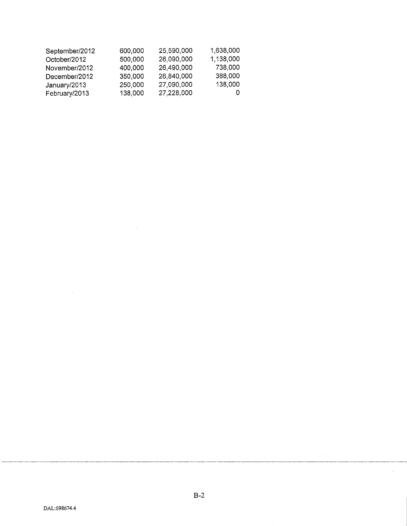| September/2012 | 600,000 | 25,590,000 | 1,638,000 |
|----------------|---------|------------|-----------|
| October/2012   | 500,000 | 26,090,000 | 1,138,000 |
| November/2012  | 400,000 | 26,490,000 | 738,000   |
| December/2012  | 350,000 | 26,840,000 | 388,000   |
| January/2013   | 250,000 | 27,090,000 | 138,000   |
| February/2013  | 138,000 | 27,228,000 |           |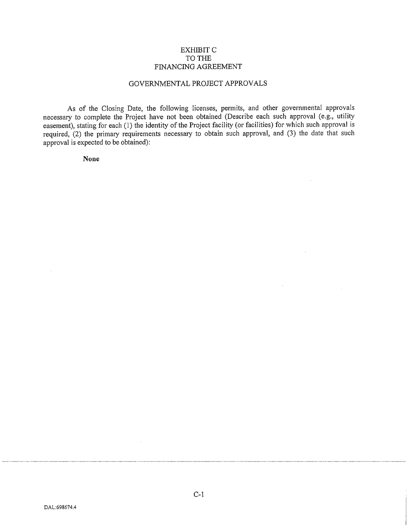### EXHIBIT C TO THE FINANCING AGREEMENT

### GOVERNMENTAL PROJECT APPROVALS

As of the Closing Date, the following licenses, permits, and other governmental approvals necessary to complete the Project have not been obtained (Describe each such approval (e.g., utility easement), stating for each (1) the identity of the Project facility (or facilities) for which such approval is required, (2) the primary requirements necessary to obtain such approval, and (3) the date that such approval is expected to be obtained):

**None**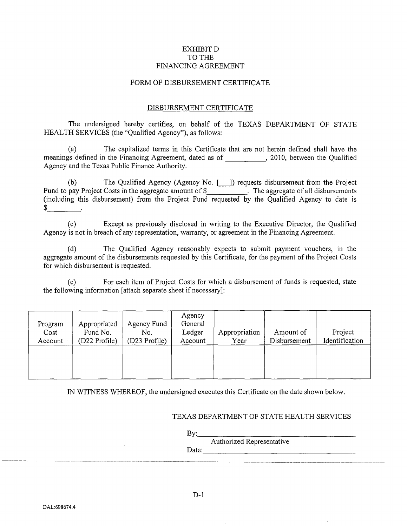# EXHIBIT D TO THE FINANCING AGREEMENT

### FORM OF DISBURSEMENT CERTIFICATE

### DISBURSEMENT CERTIFICATE

The undersigned hereby certifies, on behalf of the TEXAS DEPARTMENT OF STATE HEALTH SERVICES (the "Qualified Agency"), as follows:

(a) The capitalized terms in this Certificate that are not herein defined shall have the meanings defined in the Financing Agreement, dated as of 2010, between the Qualified Agency and the Texas Public Finance Authority.

(b) The Qualified Agency (Agency No. [\_]) requests disbursement from the Project Fund to pay Project Costs in the aggregate amount of \$ . The aggregate of all disbursements (including this disbursement) from the Project Fund requested by the Qualified Agency to date is  $\frac{1}{2}$ 

(c) Except as previously disclosed in writing to the Executive Director, the Qualified Agency is not in breach of any representation, warranty, or agreement in the Financing Agreement.

(d) The Qualified Agency reasonably expects to submit payment vouchers, in the aggregate amount of the disbursements requested by this Certificate, for the payment of the Project Costs for which disbursement is requested.

(e) For each item of Project Costs for which a disbursement of funds is requested, state the following information [attach separate sheet if necessary]:

| Program<br>Cost<br>Account | Appropriated<br>Fund No.<br>(D22 Profile) | Agency Fund<br>No.<br>(D23 Profile) | Agency<br>General<br>Ledger<br>Account | Appropriation<br>Year | Amount of<br>Disbursement | Project<br>Identification |
|----------------------------|-------------------------------------------|-------------------------------------|----------------------------------------|-----------------------|---------------------------|---------------------------|
|                            |                                           |                                     |                                        |                       |                           |                           |

IN WITNESS WHEREOF, the undersigned executes this Certificate on the date shown below.

## TEXAS DEPARTMENT OF STATE HEALTH SERVICES

By: \_\_\_\_\_\_\_\_\_\_\_\_\_\_\_\_ \_

Authorized Representative Date: \_\_\_\_\_\_\_\_\_\_\_\_\_\_\_\_\_ \_

----~-~---- ----------------------~-- ----------------------------------------- -----------------------------------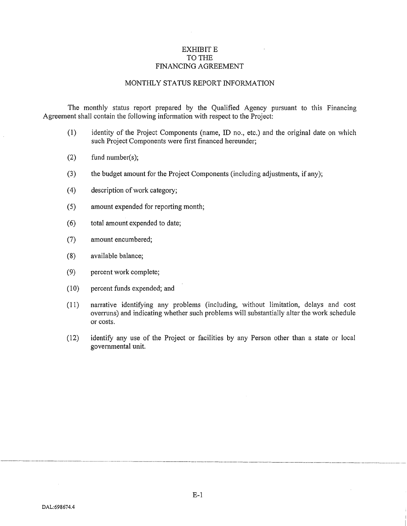## EXHIBIT E TO THE FINANCING AGREEMENT

### MONTHLY STATUS REPORT INFORMATION

The monthly status report prepared by the Qualified Agency pursuant to this Financing Agreement shall contain the following information with respect to the Project:

- (1) identity of the Project Components (name, ID no., etc.) and the original date on which such Project Components were first financed hereunder;
- (2) fund number(s);
- (3) the budget amount for the Project Components (including adjustments, if any);
- $(4)$  description of work category;
- (5) amount expended for reporting month;
- (6) total amount expended to date;
- (7) amount encumbered;
- (8) available balance;
- (9) percent work complete;
- (10) percent funds expended; and
- (11) narrative identifying any problems (including, without limitation, delays and cost overruns) and indicating whether such problems will substantially alter the work schedule or costs.
- (12) identify any use of the Project or facilities by any Person other than a state or local governmental unit.

-------------------------------------------------------------------------~----------------------------------------------------------------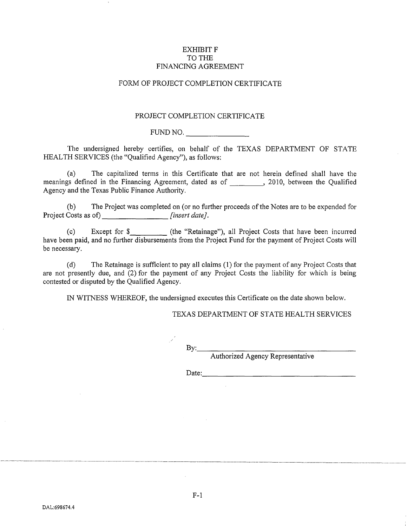## EXHIBIT F TO THE FINANCING AGREEMENT

# FORM OF PROJECT COMPLETION CERTIFICATE

### PROJECT COMPLETION CERTIFICATE

FUND NO.

The undersigned hereby certifies, on behalf of the TEXAS DEPARTMENT OF STATE HEALTH SERVICES (the "Qualified Agency"), as follows:

(a) The capitalized terms in this Certificate that are not herein defined shall have the meanings defined in the Financing Agreement, dated as of \_\_\_\_\_\_\_, 2010, between the Qualified Agency and the Texas Public Finance Authority.

(b) The Project was completed on (or no further proceeds ofthe Notes are to be expended for Project Costs as of) *[insert date].* 

(c) Except for \$\_\_\_\_\_\_\_\_\_\_\_ (the "Retainage"), all Project Costs that have been incurred have been paid, and no further disbursements from the Project Fund for the payment of Project Costs will be necessary.

(d) The Retainage is sufficient to pay all claims (1) for the payment of any Project Costs that are not presently due, and (2) for the payment of any Project Costs the liability for which is being contested or disputed by the Qualified Agency.

IN WITNESS WHEREOF, the undersigned executes this Certificate on the date shown below.

#### TEXAS DEPARTMENT OF STATE HEALTH SERVICES

By: \_\_\_\_\_\_\_\_\_\_\_\_\_\_\_\_ \_

Authorized Agency Representative

Date: \_\_\_\_\_\_\_\_\_\_\_\_\_\_\_\_\_ \_

-~- --~-----~- -------- ------------------- -----------------------------------·--····-~------------------------·--·----------